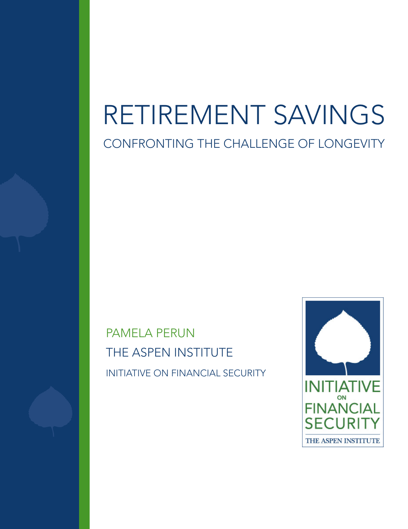# RETIREMENT SAVINGS

CONFRONTING THE CHALLENGE OF LONGEVITY

PAMELA PERUN THE ASPEN INSTITUTE INITIATIVE ON FINANCIAL SECURITY

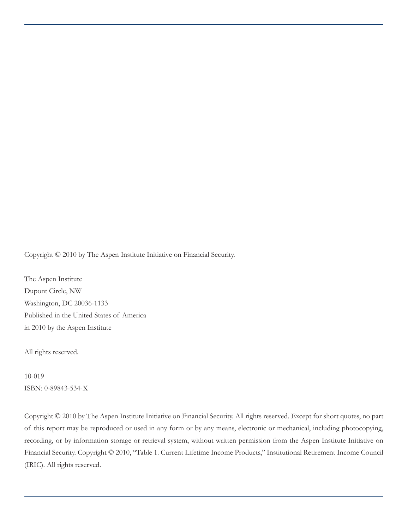Copyright © 2010 by The Aspen Institute Initiative on Financial Security.

The Aspen Institute Dupont Circle, NW Washington, DC 20036-1133 Published in the United States of America in 2010 by the Aspen Institute

All rights reserved.

10-019 ISBN: 0-89843-534-X

Copyright © 2010 by The Aspen Institute Initiative on Financial Security. All rights reserved. Except for short quotes, no part of this report may be reproduced or used in any form or by any means, electronic or mechanical, including photocopying, recording, or by information storage or retrieval system, without written permission from the Aspen Institute Initiative on Financial Security. Copyright © 2010, "Table 1. Current Lifetime Income Products," Institutional Retirement Income Council (IRIC). All rights reserved.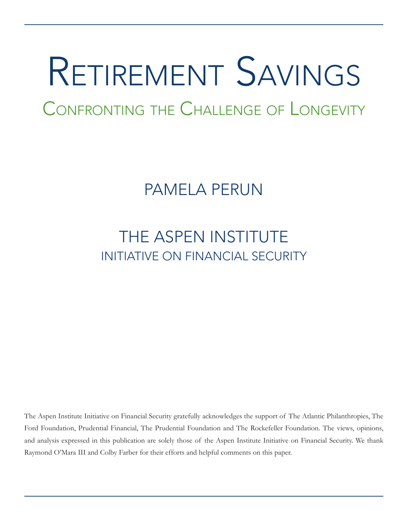# Retirement Savings

Confronting the Challenge of Longevity

## PAMELA PERUN

### THE ASPEN INSTITUTE INITIATIVE ON FINANCIAL SECURITY

The Aspen Institute Initiative on Financial Security gratefully acknowledges the support of The Atlantic Philanthropies, The Ford Foundation, Prudential Financial, The Prudential Foundation and The Rockefeller Foundation. The views, opinions, and analysis expressed in this publication are solely those of the Aspen Institute Initiative on Financial Security. We thank Raymond O'Mara III and Colby Farber for their efforts and helpful comments on this paper.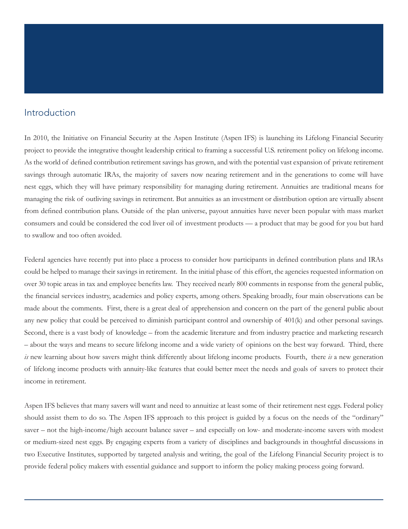#### Introduction

In 2010, the Initiative on Financial Security at the Aspen Institute (Aspen IFS) is launching its Lifelong Financial Security project to provide the integrative thought leadership critical to framing a successful U.S. retirement policy on lifelong income. As the world of defined contribution retirement savings has grown, and with the potential vast expansion of private retirement savings through automatic IRAs, the majority of savers now nearing retirement and in the generations to come will have nest eggs, which they will have primary responsibility for managing during retirement. Annuities are traditional means for managing the risk of outliving savings in retirement. But annuities as an investment or distribution option are virtually absent from defined contribution plans. Outside of the plan universe, payout annuities have never been popular with mass market consumers and could be considered the cod liver oil of investment products — a product that may be good for you but hard to swallow and too often avoided.

Federal agencies have recently put into place a process to consider how participants in defined contribution plans and IRAs could be helped to manage their savings in retirement. In the initial phase of this effort, the agencies requested information on over 30 topic areas in tax and employee benefits law. They received nearly 800 comments in response from the general public, the financial services industry, academics and policy experts, among others. Speaking broadly, four main observations can be made about the comments. First, there is a great deal of apprehension and concern on the part of the general public about any new policy that could be perceived to diminish participant control and ownership of 401(k) and other personal savings. Second, there is a vast body of knowledge – from the academic literature and from industry practice and marketing research – about the ways and means to secure lifelong income and a wide variety of opinions on the best way forward. Third, there *is* new learning about how savers might think differently about lifelong income products. Fourth, there *is* a new generation of lifelong income products with annuity-like features that could better meet the needs and goals of savers to protect their income in retirement.

Aspen IFS believes that many savers will want and need to annuitize at least some of their retirement nest eggs. Federal policy should assist them to do so. The Aspen IFS approach to this project is guided by a focus on the needs of the "ordinary" saver – not the high-income/high account balance saver – and especially on low- and moderate-income savers with modest or medium-sized nest eggs. By engaging experts from a variety of disciplines and backgrounds in thoughtful discussions in two Executive Institutes, supported by targeted analysis and writing, the goal of the Lifelong Financial Security project is to provide federal policy makers with essential guidance and support to inform the policy making process going forward.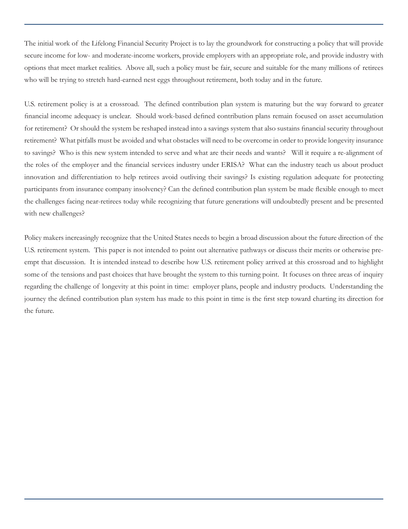The initial work of the Lifelong Financial Security Project is to lay the groundwork for constructing a policy that will provide secure income for low- and moderate-income workers, provide employers with an appropriate role, and provide industry with options that meet market realities. Above all, such a policy must be fair, secure and suitable for the many millions of retirees who will be trying to stretch hard-earned nest eggs throughout retirement, both today and in the future.

U.S. retirement policy is at a crossroad. The defined contribution plan system is maturing but the way forward to greater financial income adequacy is unclear. Should work-based defined contribution plans remain focused on asset accumulation for retirement? Or should the system be reshaped instead into a savings system that also sustains financial security throughout retirement? What pitfalls must be avoided and what obstacles will need to be overcome in order to provide longevity insurance to savings? Who is this new system intended to serve and what are their needs and wants? Will it require a re-alignment of the roles of the employer and the financial services industry under ERISA? What can the industry teach us about product innovation and differentiation to help retirees avoid outliving their savings? Is existing regulation adequate for protecting participants from insurance company insolvency? Can the defined contribution plan system be made flexible enough to meet the challenges facing near-retirees today while recognizing that future generations will undoubtedly present and be presented with new challenges?

Policy makers increasingly recognize that the United States needs to begin a broad discussion about the future direction of the U.S. retirement system. This paper is not intended to point out alternative pathways or discuss their merits or otherwise preempt that discussion. It is intended instead to describe how U.S. retirement policy arrived at this crossroad and to highlight some of the tensions and past choices that have brought the system to this turning point. It focuses on three areas of inquiry regarding the challenge of longevity at this point in time: employer plans, people and industry products. Understanding the journey the defined contribution plan system has made to this point in time is the first step toward charting its direction for the future.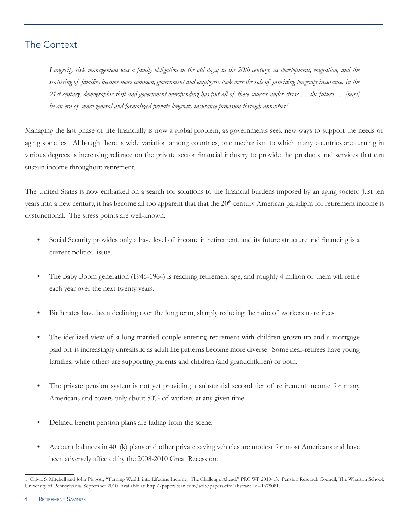#### The Context

*Longevity risk management was a family obligation in the old days; in the 20th century, as development, migration, and the scattering of families became more common, government and employers took over the role of providing longevity insurance. In the 21st century, demographic shift and government overspending has put all of these sources under stress … the future … [may] be an era of more general and formalized private longevity insurance provision through annuities.1*

Managing the last phase of life financially is now a global problem, as governments seek new ways to support the needs of aging societies. Although there is wide variation among countries, one mechanism to which many countries are turning in various degrees is increasing reliance on the private sector financial industry to provide the products and services that can sustain income throughout retirement.

The United States is now embarked on a search for solutions to the financial burdens imposed by an aging society. Just ten years into a new century, it has become all too apparent that that the  $20<sup>th</sup>$  century American paradigm for retirement income is dysfunctional. The stress points are well-known.

- Social Security provides only a base level of income in retirement, and its future structure and financing is a current political issue.
- The Baby Boom generation (1946-1964) is reaching retirement age, and roughly 4 million of them will retire each year over the next twenty years.
- Birth rates have been declining over the long term, sharply reducing the ratio of workers to retirees.
- The idealized view of a long-married couple entering retirement with children grown-up and a mortgage paid off is increasingly unrealistic as adult life patterns become more diverse. Some near-retirees have young families, while others are supporting parents and children (and grandchildren) or both.
- The private pension system is not yet providing a substantial second tier of retirement income for many Americans and covers only about 50% of workers at any given time.
- Defined benefit pension plans are fading from the scene.
- Account balances in 401(k) plans and other private saving vehicles are modest for most Americans and have been adversely affected by the 2008-2010 Great Recession.

<sup>1</sup> Olivia S. Mitchell and John Piggott, "Turning Wealth into Lifetime Income: The Challenge Ahead," PRC WP 2010-13, Pension Research Council, The Wharton School, University of Pennsylvania, September 2010. Available at: http://papers.ssrn.com/sol3/papers.cfm?abstract\_id=1678081.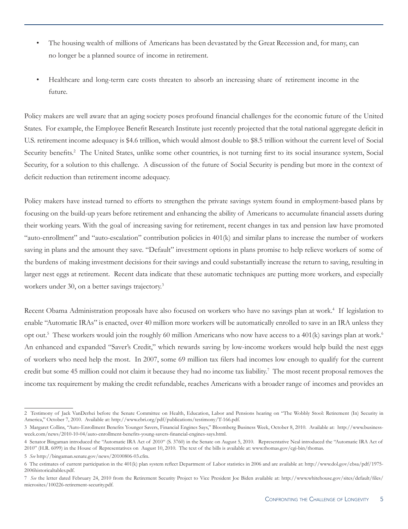- The housing wealth of millions of Americans has been devastated by the Great Recession and, for many, can no longer be a planned source of income in retirement.
- Healthcare and long-term care costs threaten to absorb an increasing share of retirement income in the future.

Policy makers are well aware that an aging society poses profound financial challenges for the economic future of the United States. For example, the Employee Benefit Research Institute just recently projected that the total national aggregate deficit in U.S. retirement income adequacy is \$4.6 trillion, which would almost double to \$8.5 trillion without the current level of Social Security benefits.<sup>2</sup> The United States, unlike some other countries, is not turning first to its social insurance system, Social Security, for a solution to this challenge. A discussion of the future of Social Security is pending but more in the context of deficit reduction than retirement income adequacy.

Policy makers have instead turned to efforts to strengthen the private savings system found in employment-based plans by focusing on the build-up years before retirement and enhancing the ability of Americans to accumulate financial assets during their working years. With the goal of increasing saving for retirement, recent changes in tax and pension law have promoted "auto-enrollment" and "auto-escalation" contribution policies in 401(k) and similar plans to increase the number of workers saving in plans and the amount they save. "Default" investment options in plans promise to help relieve workers of some of the burdens of making investment decisions for their savings and could substantially increase the return to saving, resulting in larger nest eggs at retirement. Recent data indicate that these automatic techniques are putting more workers, and especially workers under 30, on a better savings trajectory.<sup>3</sup>

Recent Obama Administration proposals have also focused on workers who have no savings plan at work.<sup>4</sup> If legislation to enable "Automatic IRAs" is enacted, over 40 million more workers will be automatically enrolled to save in an IRA unless they opt out.<sup>5</sup> These workers would join the roughly 60 million Americans who now have access to a 401(k) savings plan at work.<sup>6</sup> An enhanced and expanded "Saver's Credit," which rewards saving by low-income workers would help build the nest eggs of workers who need help the most. In 2007, some 69 million tax filers had incomes low enough to qualify for the current credit but some 45 million could not claim it because they had no income tax liability.<sup>7</sup> The most recent proposal removes the income tax requirement by making the credit refundable, reaches Americans with a broader range of incomes and provides an

<sup>2</sup> Testimony of Jack VanDerhei before the Senate Committee on Health, Education, Labor and Pensions hearing on "The Wobbly Stool: Retirement (In) Security in America," October 7, 2010. Available at: http://www.ebri.org/pdf/publications/testimony/T-166.pdf.

<sup>3</sup> Margaret Collins, "Auto-Enrollment Benefits Younger Savers, Financial Engines Says," Bloomberg Business Week, October 8, 2010. Available at: http://www.businessweek.com/news/2010-10-04/auto-enrollment-benefits-young-savers-financial-engines-says.html.

<sup>4</sup> Senator Bingaman introduced the "Automatic IRA Act of 2010" (S. 3760) in the Senate on August 5, 2010. Representative Neal introduced the "Automatic IRA Act of 2010" (H.R. 6099) in the House of Representatives on August 10, 2010. The text of the bills is available at: www.thomas.gov/cgi-bin/thomas.

<sup>5</sup> *See* http://bingaman.senate.gov/news/20100806-03.cfm.

<sup>6</sup> The estimates of current participation in the 401(k) plan system reflect Department of Labor statistics in 2006 and are available at: http://www.dol.gov/ebsa/pdf/1975- 2006historicaltables.pdf.

<sup>7</sup> *See* the letter dated February 24, 2010 from the Retirement Security Project to Vice President Joe Biden available at: http://www.whitehouse.gov/sites/default/files/ microsites/100226-retirement-security.pdf.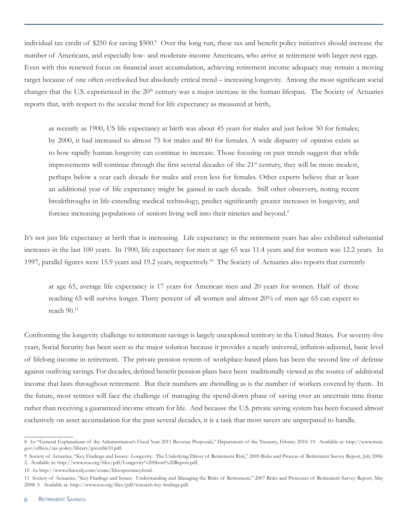individual tax credit of \$250 for saving \$500.8 Over the long run, these tax and benefit policy initiatives should increase the number of Americans, and especially low- and moderate-income Americans, who arrive at retirement with larger nest eggs. Even with this renewed focus on financial asset accumulation, achieving retirement income adequacy may remain a moving target because of one often overlooked but absolutely critical trend – increasing longevity. Among the most significant social changes that the U.S. experienced in the 20<sup>th</sup> century was a major increase in the human lifespan. The Society of Actuaries reports that, with respect to the secular trend for life expectancy as measured at birth,

as recently as 1900, US life expectancy at birth was about 45 years for males and just below 50 for females; by 2000, it had increased to almost 75 for males and 80 for females. A wide disparity of opinion exists as to how rapidly human longevity can continue to increase. Those focusing on past trends suggest that while improvements will continue through the first several decades of the  $21<sup>st</sup>$  century, they will be more modest, perhaps below a year each decade for males and even less for females. Other experts believe that at least an additional year of life expectancy might be gained in each decade. Still other observers, noting recent breakthroughs in life-extending medical technology, predict significantly greater increases in longevity, and foresee increasing populations of seniors living well into their nineties and beyond.<sup>9</sup>

It's not just life expectancy at birth that is increasing. Life expectancy in the retirement years has also exhibited substantial increases in the last 100 years. In 1900, life expectancy for men at age 65 was 11.4 years and for women was 12.2 years. In 1997, parallel figures were 15.9 years and 19.2 years, respectively.<sup>10</sup> The Society of Actuaries also reports that currently

at age 65, average life expectancy is 17 years for American men and 20 years for women. Half of those reaching 65 will survive longer. Thirty percent of all women and almost 20% of men age 65 can expect to reach  $90.^{11}$ 

Confronting the longevity challenge to retirement savings is largely unexplored territory in the United States. For seventy-five years, Social Security has been seen as the major solution because it provides a nearly universal, inflation-adjusted, basic level of lifelong income in retirement. The private pension system of workplace-based plans has been the second line of defense against outliving savings. For decades, defined benefit pension plans have been traditionally viewed as the source of additional income that lasts throughout retirement. But their numbers are dwindling as is the number of workers covered by them. In the future, most retirees will face the challenge of managing the spend-down phase of saving over an uncertain time frame rather than receiving a guaranteed income stream for life. And because the U.S. private saving system has been focused almost exclusively on asset accumulation for the past several decades, it is a task that most savers are unprepared to handle.

<sup>8</sup> *See* "General Explanations of the Administration's Fiscal Year 2011 Revenue Proposals," Department of the Treasury, Febrary 2010: 19. Available at: http://www.treas. gov/offices/tax-policy/library/greenbk10.pdf.

<sup>9</sup> Society of Actuaries, "Key Findings and Issues: Longevity: The Underlying Driver of Retirement Risk," 2005 Risks and Process of Retirement Survey Report, July 2006: 2. Available at: http://www.soa.org/files/pdf/Longevity%20Short%20Report.pdf.

<sup>10</sup> *See* http://www.efmoody.com/estate/lifeexpectancy.html.

<sup>11</sup> Society of Actuaries, "Key Findings and Issues: Understanding and Managing the Risks of Retirement," 2007 Risks and Processes of Retirement Survey Report, May 2008: 3. Available at: http://www.soa.org/files/pdf/research-key-findings.pdf.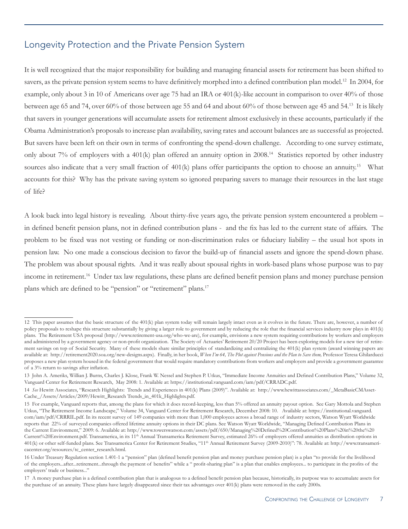#### Longevity Protection and the Private Pension System

It is well recognized that the major responsibility for building and managing financial assets for retirement has been shifted to savers, as the private pension system seems to have definitively morphed into a defined contribution plan model.<sup>12</sup> In 2004, for example, only about 3 in 10 of Americans over age 75 had an IRA or 401(k)-like account in comparison to over 40% of those between age 65 and 74, over 60% of those between age 55 and 64 and about 60% of those between age 45 and 54.<sup>13</sup> It is likely that savers in younger generations will accumulate assets for retirement almost exclusively in these accounts, particularly if the Obama Administration's proposals to increase plan availability, saving rates and account balances are as successful as projected. But savers have been left on their own in terms of confronting the spend-down challenge. According to one survey estimate, only about 7% of employers with a 401(k) plan offered an annuity option in 2008.14 Statistics reported by other industry sources also indicate that a very small fraction of  $401(k)$  plans offer participants the option to choose an annuity.<sup>15</sup> What accounts for this? Why has the private saving system so ignored preparing savers to manage their resources in the last stage of life?

A look back into legal history is revealing. About thirty-five years ago, the private pension system encountered a problem – in defined benefit pension plans, not in defined contribution plans - and the fix has led to the current state of affairs. The problem to be fixed was not vesting or funding or non-discrimination rules or fiduciary liability – the usual hot spots in pension law. No one made a conscious decision to favor the build-up of financial assets and ignore the spend-down phase. The problem was about spousal rights. And it was really about spousal rights in work-based plans whose purpose was to pay income in retirement.16 Under tax law regulations, these plans are defined benefit pension plans and money purchase pension plans which are defined to be "pension" or "retirement" plans.<sup>17</sup>

<sup>12</sup> This paper assumes that the basic structure of the 401(k) plan system today will remain largely intact even as it evolves in the future. There are, however, a number of policy proposals to reshape this structure substantially by giving a larger role to government and by reducing the role that the financial services industry now plays in 401(k) plans. The Retirement USA proposal (http://www.retirement-usa.org/who-we-are), for example, envisions a new system requiring contributions by workers and employers and administered by a government agency or non-profit organization. The Society of Actuaries' Retirement 20/20 Project has been exploring models for a new tier of retirement savings on top of Social Security. Many of these models share similar principles of standardizing and centralizing the 401(k) plan system (award winning papers are available at: http://retirement2020.soa.org/new-designs.aspx). Finally, in her book, *When I'm 64, The Plot against Pensions and the Plan to Save them,* Professor Teresa Ghilarducci proposes a new plan system housed in the federal government that would require mandatory contributions from workers and employers and provide a government guarantee of a 3% return to savings after inflation.

<sup>13</sup> John A. Ameriks, Willian J. Burns, Charles J. Klose, Frank W. Nessel and Stephen P. Utkus, "Immediate Income Annuities and Defined Contribution Plans," Volume 32, Vanguard Center for Retirement Research, May 2008: 1. Available at: https://institutional.vanguard.com/iam/pdf/CRRADC.pdf.

<sup>14</sup> *See* Hewitt Associates, "Research Highlights: Trends and Experiences in 401(k) Plans (2009)". Available at: http://www.hewittassociates.com/\_MetaBasicCMAsset-Cache\_/Assets/Articles/2009/Hewitt\_Research Trends\_in\_401k\_Highlights.pdf.

<sup>15</sup> For example, Vanguard reports that, among the plans for which it does record-keeping, less than 5% offered an annuity payout option. See Gary Mottola and Stephen Utkus, "The Retirement Income Landscape," Volume 34, Vanguard Center for Retirement Research, December 2008: 10. Available at: https://institutional.vanguard. com/iam/pdf/CRRRIL.pdf. In its recent survey of 149 companies with more than 1,000 employees across a broad range of industry sectors, Watson Wyatt Worldwide reports that 22% of surveyed companies offered lifetime annuity options in their DC plans. See Watson Wyatt Worldwide, "Managing Defined Contribution Plans in the Current Environment," 2009: 6. Available at: http://www.towerswatson.com/assets/pdf/650/Managing%20Defined%20Contribution%20Plans%20in%20the%20 Current%20Environment.pdf. Transamerica, in its 11th Annual Transamerica Retirement Survey, estimated 26% of employers offered annuities as distribution options in 401(k) or other self-funded plans. See Transamerica Center for Retirement Studies, "11th Annual Retirement Survey (2009-2010)": 78. Available at: http://www.transamericacenter.org/resources/tc\_center\_research.html.

<sup>16</sup> Under Treasury Regulation section 1.401-1 a "pension" plan (defined benefit pension plan and money purchase pension plan) is a plan "to provide for the livelihood of the employers...after...retirement...through the payment of benefits" while a " profit-sharing plan" is a plan that enables employees... to participate in the profits of the employers' trade or business..."

<sup>17</sup> A money purchase plan is a defined contribution plan that is analogous to a defined benefit pension plan because, historically, its purpose was to accumulate assets for the purchase of an annuity. These plans have largely disappeared since their tax advantages over 401(k) plans were removed in the early 2000s.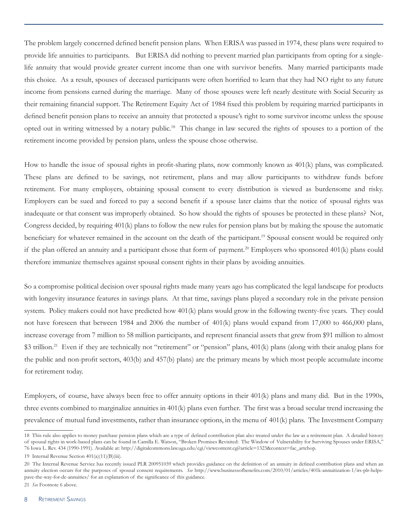The problem largely concerned defined benefit pension plans. When ERISA was passed in 1974, these plans were required to provide life annuities to participants. But ERISA did nothing to prevent married plan participants from opting for a singlelife annuity that would provide greater current income than one with survivor benefits. Many married participants made this choice. As a result, spouses of deceased participants were often horrified to learn that they had NO right to any future income from pensions earned during the marriage. Many of those spouses were left nearly destitute with Social Security as their remaining financial support. The Retirement Equity Act of 1984 fixed this problem by requiring married participants in defined benefit pension plans to receive an annuity that protected a spouse's right to some survivor income unless the spouse opted out in writing witnessed by a notary public.18 This change in law secured the rights of spouses to a portion of the retirement income provided by pension plans, unless the spouse chose otherwise.

How to handle the issue of spousal rights in profit-sharing plans, now commonly known as 401(k) plans, was complicated. These plans are defined to be savings, not retirement, plans and may allow participants to withdraw funds before retirement. For many employers, obtaining spousal consent to every distribution is viewed as burdensome and risky. Employers can be sued and forced to pay a second benefit if a spouse later claims that the notice of spousal rights was inadequate or that consent was improperly obtained. So how should the rights of spouses be protected in these plans? Not, Congress decided, by requiring 401(k) plans to follow the new rules for pension plans but by making the spouse the automatic beneficiary for whatever remained in the account on the death of the participant.<sup>19</sup> Spousal consent would be required only if the plan offered an annuity and a participant chose that form of payment.<sup>20</sup> Employers who sponsored  $401(k)$  plans could therefore immunize themselves against spousal consent rights in their plans by avoiding annuities.

So a compromise political decision over spousal rights made many years ago has complicated the legal landscape for products with longevity insurance features in savings plans. At that time, savings plans played a secondary role in the private pension system. Policy makers could not have predicted how 401(k) plans would grow in the following twenty-five years. They could not have foreseen that between 1984 and 2006 the number of 401(k) plans would expand from 17,000 to 466,000 plans, increase coverage from 7 million to 58 million participants, and represent financial assets that grew from \$91 million to almost \$3 trillion.<sup>21</sup> Even if they are technically not "retirement" or "pension" plans, 401(k) plans (along with their analog plans for the public and non-profit sectors, 403(b) and 457(b) plans) are the primary means by which most people accumulate income for retirement today.

Employers, of course, have always been free to offer annuity options in their 401(k) plans and many did. But in the 1990s, three events combined to marginalize annuities in 401(k) plans even further. The first was a broad secular trend increasing the prevalence of mutual fund investments, rather than insurance options, in the menu of 401(k) plans. The Investment Company

<sup>18</sup> This rule also applies to money purchase pension plans which are a type of defined contribution plan also treated under the law as a retirement plan. A detailed history of spousal rights in work-based plans can be found in Camilla E. Watson, "Broken Promises Revisited: The Window of Vulnerability for Surviving Spouses under ERISA," 76 Iowa L. Rev. 434 (1990-1991). Available at: http://digitalcommons.law.uga.edu/cgi/viewcontent.cgi?article=1323&context=fac\_artchop.

<sup>19</sup> Internal Revenue Section 401(a)(11)(B)(iii).

<sup>20</sup> The Internal Revenue Service has recently issued PLR 200951039 which provides guidance on the definition of an annuity in defined contribution plans and when an annuity election occurs for the purposes of spousal consent requirements. *See* http://www.businessofbenefits.com/2010/01/articles/401k-annuitization-1/irs-plr-helpspave-the-way-for-dc-annuities/ for an explanation of the significance of this guidance.

<sup>21</sup> *See* Footnote 6 above.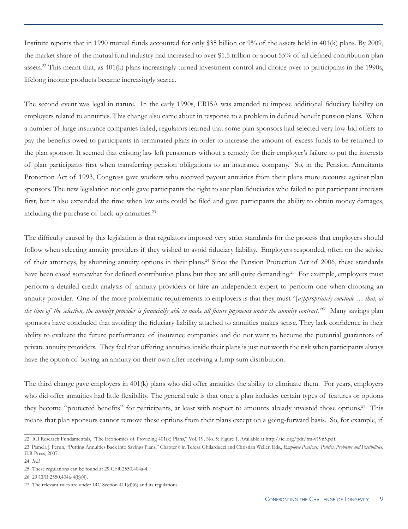Institute reports that in 1990 mutual funds accounted for only \$35 billion or 9% of the assets held in 401(k) plans. By 2009, the market share of the mutual fund industry had increased to over \$1.5 trillion or about 55% of all defined contribution plan assets.<sup>22</sup> This meant that, as 401(k) plans increasingly turned investment control and choice over to participants in the 1990s, lifelong income products became increasingly scarce.

The second event was legal in nature. In the early 1990s, ERISA was amended to impose additional fiduciary liability on employers related to annuities. This change also came about in response to a problem in defined benefit pension plans. When a number of large insurance companies failed, regulators learned that some plan sponsors had selected very low-bid offers to pay the benefits owed to participants in terminated plans in order to increase the amount of excess funds to be returned to the plan sponsor. It seemed that existing law left pensioners without a remedy for their employer's failure to put the interests of plan participants first when transferring pension obligations to an insurance company. So, in the Pension Annuitants Protection Act of 1993, Congress gave workers who received payout annuities from their plans more recourse against plan sponsors. The new legislation not only gave participants the right to sue plan fiduciaries who failed to put participant interests first, but it also expanded the time when law suits could be filed and gave participants the ability to obtain money damages, including the purchase of back-up annuities.<sup>23</sup>

The difficulty caused by this legislation is that regulators imposed very strict standards for the process that employers should follow when selecting annuity providers if they wished to avoid fiduciary liability. Employers responded, often on the advice of their attorneys, by shunning annuity options in their plans.24 Since the Pension Protection Act of 2006, these standards have been eased somewhat for defined contribution plans but they are still quite demanding.<sup>25</sup> For example, employers must perform a detailed credit analysis of annuity providers or hire an independent expert to perform one when choosing an annuity provider. One of the more problematic requirements to employers is that they must "[*a]ppropriately conclude … that, at the time of the selection, the annuity provider is financially able to make all future payments under the annuity contract."*26 Many savings plan sponsors have concluded that avoiding the fiduciary liability attached to annuities makes sense. They lack confidence in their ability to evaluate the future performance of insurance companies and do not want to become the potential guarantors of private annuity providers. They feel that offering annuities inside their plans is just not worth the risk when participants always have the option of buying an annuity on their own after receiving a lump sum distribution.

The third change gave employers in 401(k) plans who did offer annuities the ability to eliminate them. For years, employers who did offer annuities had little flexibility. The general rule is that once a plan includes certain types of features or options they become "protected benefits" for participants, at least with respect to amounts already invested those options.<sup>27</sup> This means that plan sponsors cannot remove these options from their plans except on a going-forward basis. So, for example, if

<sup>22</sup> ICI Research Fundamentals, "The Economics of Providing 401(k) Plans," Vol. 19, No. 5: Figure 1. Available at http://ici.org/pdf/fm-v19n5.pdf.

<sup>23</sup> Pamela J. Perun, "Putting Annuities Back into Savings Plans," Chapter 8 in Teresa Ghilarducci and Christian Weller, Eds., *Employee Pensions: Policies, Problems and Possibilities*, ILR Press, 2007.

<sup>24</sup> *Ibid.* 

<sup>25</sup> These regulations can be found at 29 CFR 2550.404a-4.

<sup>26 29</sup> CFR 2550.404a-4(b)(4).

<sup>27</sup> The relevant rules are under IRC Section 411(d)(6) and its regulations.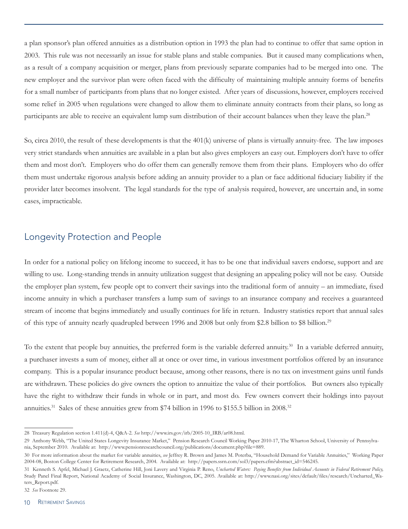a plan sponsor's plan offered annuities as a distribution option in 1993 the plan had to continue to offer that same option in 2003. This rule was not necessarily an issue for stable plans and stable companies. But it caused many complications when, as a result of a company acquisition or merger, plans from previously separate companies had to be merged into one. The new employer and the survivor plan were often faced with the difficulty of maintaining multiple annuity forms of benefits for a small number of participants from plans that no longer existed. After years of discussions, however, employers received some relief in 2005 when regulations were changed to allow them to eliminate annuity contracts from their plans, so long as participants are able to receive an equivalent lump sum distribution of their account balances when they leave the plan.<sup>28</sup>

So, circa 2010, the result of these developments is that the 401(k) universe of plans is virtually annuity-free. The law imposes very strict standards when annuities are available in a plan but also gives employers an easy out. Employers don't have to offer them and most don't. Employers who do offer them can generally remove them from their plans. Employers who do offer them must undertake rigorous analysis before adding an annuity provider to a plan or face additional fiduciary liability if the provider later becomes insolvent. The legal standards for the type of analysis required, however, are uncertain and, in some cases, impracticable.

#### Longevity Protection and People

In order for a national policy on lifelong income to succeed, it has to be one that individual savers endorse, support and are willing to use. Long-standing trends in annuity utilization suggest that designing an appealing policy will not be easy. Outside the employer plan system, few people opt to convert their savings into the traditional form of annuity – an immediate, fixed income annuity in which a purchaser transfers a lump sum of savings to an insurance company and receives a guaranteed stream of income that begins immediately and usually continues for life in return. Industry statistics report that annual sales of this type of annuity nearly quadrupled between 1996 and 2008 but only from \$2.8 billion to \$8 billion.29

To the extent that people buy annuities, the preferred form is the variable deferred annuity.<sup>30</sup> In a variable deferred annuity, a purchaser invests a sum of money, either all at once or over time, in various investment portfolios offered by an insurance company. This is a popular insurance product because, among other reasons, there is no tax on investment gains until funds are withdrawn. These policies do give owners the option to annuitize the value of their portfolios. But owners also typically have the right to withdraw their funds in whole or in part, and most do. Few owners convert their holdings into payout annuities.<sup>31</sup> Sales of these annuities grew from \$74 billion in 1996 to \$155.5 billion in 2008.<sup>32</sup>

<sup>28</sup> Treasury Regulation section 1.411(d)-4, Q&A-2. *See* http://www.irs.gov/irb/2005-10\_IRB/ar08.html.

<sup>29</sup> Anthony Webb, "The United States Longevity Insurance Market," Pension Research Council Working Paper 2010-17, The Wharton School, University of Pennsylvania, September 2010. Available at: http://www.pensionresearchcouncil.org/publications/document.php?file=889.

<sup>30</sup> For more information about the market for variable annuities, *see* Jeffrey R. Brown and James M. Poterba, "Household Demand for Variable Annuities," Working Paper 2004-08, Boston College Center for Retirement Research, 2004. Available at: http://papers.ssrn.com/sol3/papers.cfm?abstract\_id=546245.

<sup>31</sup> Kenneth S. Apfel, Michael J. Graetz, Catherine Hill, Joni Lavery and Virginia P. Reno, *Uncharted Waters: Paying Benefits from Individual Accounts in Federal Retirement Policy,*  Study Panel Final Report, National Academy of Social Insurance, Washington, DC, 2005. Available at: http://www.nasi.org/sites/default/files/research/Uncharted\_Waters\_Report.pdf.

<sup>32</sup> *See* Footnote 29.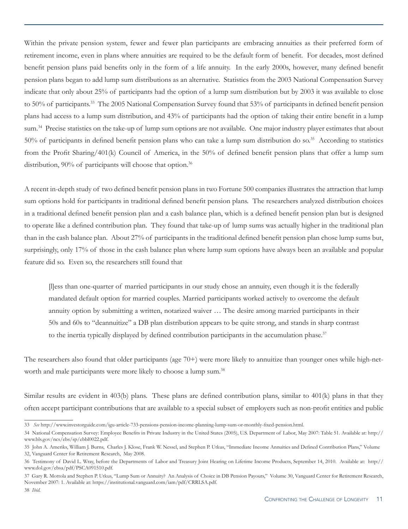Within the private pension system, fewer and fewer plan participants are embracing annuities as their preferred form of retirement income, even in plans where annuities are required to be the default form of benefit. For decades, most defined benefit pension plans paid benefits only in the form of a life annuity. In the early 2000s, however, many defined benefit pension plans began to add lump sum distributions as an alternative. Statistics from the 2003 National Compensation Survey indicate that only about 25% of participants had the option of a lump sum distribution but by 2003 it was available to close to 50% of participants.33 The 2005 National Compensation Survey found that 53% of participants in defined benefit pension plans had access to a lump sum distribution, and 43% of participants had the option of taking their entire benefit in a lump sum.<sup>34</sup> Precise statistics on the take-up of lump sum options are not available. One major industry player estimates that about 50% of participants in defined benefit pension plans who can take a lump sum distribution do so.<sup>35</sup> According to statistics from the Profit Sharing/401(k) Council of America, in the 50% of defined benefit pension plans that offer a lump sum distribution, 90% of participants will choose that option.<sup>36</sup>

A recent in-depth study of two defined benefit pension plans in two Fortune 500 companies illustrates the attraction that lump sum options hold for participants in traditional defined benefit pension plans. The researchers analyzed distribution choices in a traditional defined benefit pension plan and a cash balance plan, which is a defined benefit pension plan but is designed to operate like a defined contribution plan. They found that take-up of lump sums was actually higher in the traditional plan than in the cash balance plan. About 27% of participants in the traditional defined benefit pension plan chose lump sums but, surprisingly, only 17% of those in the cash balance plan where lump sum options have always been an available and popular feature did so. Even so, the researchers still found that

[l]ess than one-quarter of married participants in our study chose an annuity, even though it is the federally mandated default option for married couples. Married participants worked actively to overcome the default annuity option by submitting a written, notarized waiver … The desire among married participants in their 50s and 60s to "deannuitize" a DB plan distribution appears to be quite strong, and stands in sharp contrast to the inertia typically displayed by defined contribution participants in the accumulation phase.<sup>37</sup>

The researchers also found that older participants (age 70+) were more likely to annuitize than younger ones while high-networth and male participants were more likely to choose a lump sum.<sup>38</sup>

Similar results are evident in 403(b) plans. These plans are defined contribution plans, similar to 401(k) plans in that they often accept participant contributions that are available to a special subset of employers such as non-profit entities and public

<sup>33</sup> *See* http://www.investorguide.com/igu-article-733-pensions-pension-income-planning-lump-sum-or-monthly-fixed-pension.html.

<sup>34</sup> National Compensation Survey: Employee Benefits in Private Industry in the United States (2005), U.S. Department of Labor, May 2007: Table 51. Available at: http:// www.bls.gov/ncs/ebs/sp/ebbl0022.pdf.

<sup>35</sup> John A. Ameriks, William J. Burns, Charles J. Klose, Frank W. Nessel, and Stephen P. Utkus, "Immediate Income Annuities and Defined Contribution Plans," Volume 32, Vanguard Center for Retirement Research, May 2008.

<sup>36</sup> Testimony of David L. Wray, before the Departments of Labor and Treasury Joint Hearing on Lifetime Income Products, September 14, 2010. Available at: http:// www.dol.gov/ebsa/pdf/PSCA091510.pdf.

<sup>37</sup> Gary R. Mottola and Stephen P. Utkus, "Lump Sum or Annuity? An Analysis of Choice in DB Pension Payouts," Volume 30, Vanguard Center for Retirement Research, November 2007: 1. Available at: https://institutional.vanguard.com/iam/pdf/CRRLSA.pdf.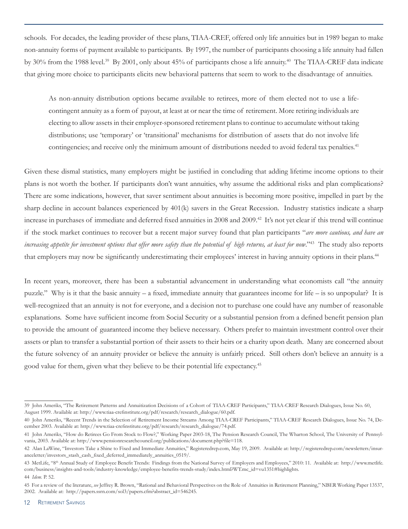schools. For decades, the leading provider of these plans, TIAA-CREF, offered only life annuities but in 1989 began to make non-annuity forms of payment available to participants. By 1997, the number of participants choosing a life annuity had fallen by 30% from the 1988 level.<sup>39</sup> By 2001, only about 45% of participants chose a life annuity.<sup>40</sup> The TIAA-CREF data indicate that giving more choice to participants elicits new behavioral patterns that seem to work to the disadvantage of annuities.

As non-annuity distribution options became available to retirees, more of them elected not to use a lifecontingent annuity as a form of payout, at least at or near the time of retirement. More retiring individuals are electing to allow assets in their employer-sponsored retirement plans to continue to accumulate without taking distributions; use 'temporary' or 'transitional' mechanisms for distribution of assets that do not involve life contingencies; and receive only the minimum amount of distributions needed to avoid federal tax penalties.<sup>41</sup>

Given these dismal statistics, many employers might be justified in concluding that adding lifetime income options to their plans is not worth the bother. If participants don't want annuities, why assume the additional risks and plan complications? There are some indications, however, that saver sentiment about annuities is becoming more positive, impelled in part by the sharp decline in account balances experienced by 401(k) savers in the Great Recession. Industry statistics indicate a sharp increase in purchases of immediate and deferred fixed annuities in 2008 and 2009.<sup>42</sup> It's not yet clear if this trend will continue if the stock market continues to recover but a recent major survey found that plan participants "*are more cautious, and have an increasing appetite for investment options that offer more safety than the potential of high returns, at least for now*."43 The study also reports that employers may now be significantly underestimating their employees' interest in having annuity options in their plans.<sup>44</sup>

In recent years, moreover, there has been a substantial advancement in understanding what economists call "the annuity puzzle." Why is it that the basic annuity – a fixed, immediate annuity that guarantees income for life – is so unpopular? It is well-recognized that an annuity is not for everyone, and a decision not to purchase one could have any number of reasonable explanations. Some have sufficient income from Social Security or a substantial pension from a defined benefit pension plan to provide the amount of guaranteed income they believe necessary. Others prefer to maintain investment control over their assets or plan to transfer a substantial portion of their assets to their heirs or a charity upon death. Many are concerned about the future solvency of an annuity provider or believe the annuity is unfairly priced. Still others don't believe an annuity is a good value for them, given what they believe to be their potential life expectancy.45

<sup>39</sup> John Ameriks, "The Retirement Patterns and Annuitization Decisions of a Cohort of TIAA-CREF Participants," TIAA-CREF Research Dialogues, Issue No. 60, August 1999. Available at: http://www.tiaa-crefinstitute.org/pdf/research/research\_dialogue/60.pdf.

<sup>40</sup> John Ameriks, "Recent Trends in the Selection of Retirement Income Streams Among TIAA-CREF Participants," TIAA-CREF Research Dialogues, Issue No. 74, December 2003. Available at: http://www.tiaa-crefinstitute.org/pdf/research/research\_dialogue/74.pdf.

<sup>41</sup> John Ameriks, "How do Retirees Go From Stock to Flow?," Working Paper 2003-18, The Pension Research Council, The Wharton School, The University of Pennsylvania, 2003. Available at: http://www.pensionresearchcouncil.org/publications/document.php?file=118.

<sup>42</sup> Alan LaWine, "Investors Take a Shine to Fixed and Immediate Annuities," Registeredrep.com, May 19, 2009. Available at: http://registeredrep.com/newsletters/insuranceletter/investors\_stash\_cash\_fixed\_deferred\_immediately\_annuities\_0519/.

<sup>43</sup> MetLife, "8<sup>th</sup> Annual Study of Employee Benefit Trends: Findings from the National Survey of Employers and Employees," 2010: 11. Available at: http://www.metlife. com/business/insights-and-tools/industry-knowledge/employee-benefits-trends-study/index.html?WT.mc\_id=vu1351#highlights. 44 *Idem*. P. 52.

<sup>45</sup> For a review of the literature, *see* Jeffrey R. Brown, "Rational and Behavioral Perspectives on the Role of Annuities in Retirement Planning," NBER Working Paper 13537, 2002. Available at: http://papers.ssrn.com/sol3/papers.cfm?abstract\_id=546245.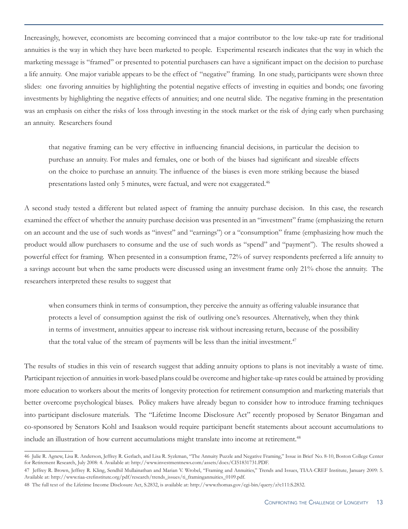Increasingly, however, economists are becoming convinced that a major contributor to the low take-up rate for traditional annuities is the way in which they have been marketed to people. Experimental research indicates that the way in which the marketing message is "framed" or presented to potential purchasers can have a significant impact on the decision to purchase a life annuity. One major variable appears to be the effect of "negative" framing. In one study, participants were shown three slides: one favoring annuities by highlighting the potential negative effects of investing in equities and bonds; one favoring investments by highlighting the negative effects of annuities; and one neutral slide. The negative framing in the presentation was an emphasis on either the risks of loss through investing in the stock market or the risk of dying early when purchasing an annuity. Researchers found

that negative framing can be very effective in influencing financial decisions, in particular the decision to purchase an annuity. For males and females, one or both of the biases had significant and sizeable effects on the choice to purchase an annuity. The influence of the biases is even more striking because the biased presentations lasted only 5 minutes, were factual, and were not exaggerated.<sup>46</sup>

A second study tested a different but related aspect of framing the annuity purchase decision. In this case, the research examined the effect of whether the annuity purchase decision was presented in an "investment" frame (emphasizing the return on an account and the use of such words as "invest" and "earnings") or a "consumption" frame (emphasizing how much the product would allow purchasers to consume and the use of such words as "spend" and "payment"). The results showed a powerful effect for framing. When presented in a consumption frame, 72% of survey respondents preferred a life annuity to a savings account but when the same products were discussed using an investment frame only 21% chose the annuity. The researchers interpreted these results to suggest that

when consumers think in terms of consumption, they perceive the annuity as offering valuable insurance that protects a level of consumption against the risk of outliving one's resources. Alternatively, when they think in terms of investment, annuities appear to increase risk without increasing return, because of the possibility that the total value of the stream of payments will be less than the initial investment.<sup>47</sup>

The results of studies in this vein of research suggest that adding annuity options to plans is not inevitably a waste of time. Participant rejection of annuities in work-based plans could be overcome and higher take-up rates could be attained by providing more education to workers about the merits of longevity protection for retirement consumption and marketing materials that better overcome psychological biases. Policy makers have already begun to consider how to introduce framing techniques into participant disclosure materials. The "Lifetime Income Disclosure Act" recently proposed by Senator Bingaman and co-sponsored by Senators Kohl and Isaakson would require participant benefit statements about account accumulations to include an illustration of how current accumulations might translate into income at retirement.<sup>48</sup>

<sup>46</sup> Julie R. Agnew, Lisa R. Anderson, Jeffrey R. Gerlach, and Lisa R. Syzkman, "The Annuity Puzzle and Negative Framing," Issue in Brief No. 8-10, Boston College Center for Retirement Research, July 2008: 4. Available at: http://www.investmentnews.com/assets/docs/CI51831731.PDF.

<sup>47</sup> Jeffrey R. Brown, Jeffrey R. Kling, Sendhil Mullainathan and Marian V. Wrobel, "Framing and Annuities," Trends and Issues, TIAA-CREF Institute, January 2009: 5. Available at: http://www.tiaa-crefinstitute.org/pdf/research/trends\_issues/ti\_framingannuities\_0109.pdf.

<sup>48</sup> The full text of the Lifetime Income Disclosure Act, S.2832, is available at: http://www.thomas.gov/cgi-bin/query/z?c111:S.2832.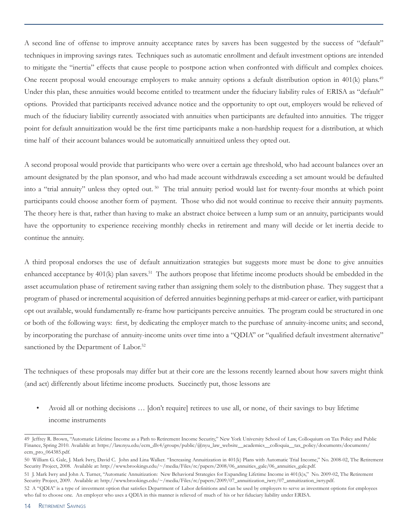A second line of offense to improve annuity acceptance rates by savers has been suggested by the success of "default" techniques in improving savings rates. Techniques such as automatic enrollment and default investment options are intended to mitigate the "inertia" effects that cause people to postpone action when confronted with difficult and complex choices. One recent proposal would encourage employers to make annuity options a default distribution option in 401(k) plans.<sup>49</sup> Under this plan, these annuities would become entitled to treatment under the fiduciary liability rules of ERISA as "default" options. Provided that participants received advance notice and the opportunity to opt out, employers would be relieved of much of the fiduciary liability currently associated with annuities when participants are defaulted into annuities. The trigger point for default annuitization would be the first time participants make a non-hardship request for a distribution, at which time half of their account balances would be automatically annuitized unless they opted out.

A second proposal would provide that participants who were over a certain age threshold, who had account balances over an amount designated by the plan sponsor, and who had made account withdrawals exceeding a set amount would be defaulted into a "trial annuity" unless they opted out.<sup>50</sup> The trial annuity period would last for twenty-four months at which point participants could choose another form of payment. Those who did not would continue to receive their annuity payments. The theory here is that, rather than having to make an abstract choice between a lump sum or an annuity, participants would have the opportunity to experience receiving monthly checks in retirement and many will decide or let inertia decide to continue the annuity.

A third proposal endorses the use of default annuitization strategies but suggests more must be done to give annuities enhanced acceptance by 401(k) plan savers.<sup>51</sup> The authors propose that lifetime income products should be embedded in the asset accumulation phase of retirement saving rather than assigning them solely to the distribution phase. They suggest that a program of phased or incremental acquisition of deferred annuities beginning perhaps at mid-career or earlier, with participant opt out available, would fundamentally re-frame how participants perceive annuities. The program could be structured in one or both of the following ways: first, by dedicating the employer match to the purchase of annuity-income units; and second, by incorporating the purchase of annuity-income units over time into a "QDIA" or "qualified default investment alternative" sanctioned by the Department of Labor.<sup>52</sup>

The techniques of these proposals may differ but at their core are the lessons recently learned about how savers might think (and act) differently about lifetime income products. Succinctly put, those lessons are

• Avoid all or nothing decisions … [don't require] retirees to use all, or none, of their savings to buy lifetime income instruments

<sup>49</sup> Jeffrey R. Brown, "Automatic Lifetime Income as a Path to Retirement Income Security," New York University School of Law, Colloquium on Tax Policy and Public Finance, Spring 2010. Available at: https://law.nyu.edu/ecm\_dlv4/groups/public/@nyu\_law\_website\_\_academics\_\_colloquia\_\_tax\_policy/documents/documents/ ecm\_pro\_064385.pdf.

<sup>50</sup> William G. Gale, J. Mark Iwry, David C. John and Lina Walker. "Increasing Annuitization in 401(k) Plans with Automatic Trial Income," No. 2008-02, The Retirement Security Project, 2008. Available at: http://www.brookings.edu/~/media/Files/rc/papers/2008/06\_annuities\_gale/06\_annuities\_gale.pdf.

<sup>51</sup> J. Mark Iwry and John A. Turner, "Automatic Annuitization: New Behavioral Strategies for Expanding Lifetime Income in 401(k)s," No. 2009-02, The Retirement Security Project, 2009. Available at: http://www.brookings.edu/~/media/Files/rc/papers/2009/07\_annuitization\_iwry/07\_annuitization\_iwry.pdf.

<sup>52</sup> A "QDIA" is a type of investment option that satisfies Department of Labor definitions and can be used by employers to serve as investment options for employees who fail to choose one. An employer who uses a QDIA in this manner is relieved of much of his or her fiduciary liability under ERISA.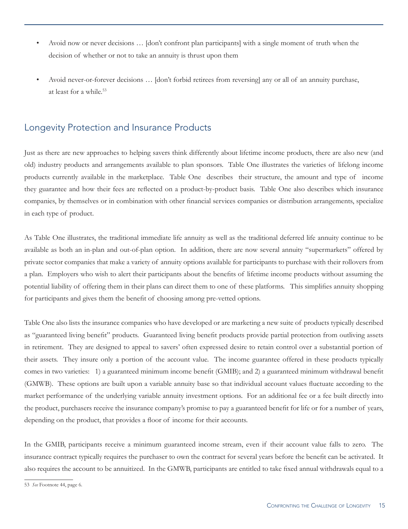- Avoid now or never decisions … [don't confront plan participants] with a single moment of truth when the decision of whether or not to take an annuity is thrust upon them
- Avoid never-or-forever decisions … [don't forbid retirees from reversing] any or all of an annuity purchase, at least for a while.<sup>53</sup>

#### Longevity Protection and Insurance Products

Just as there are new approaches to helping savers think differently about lifetime income products, there are also new (and old) industry products and arrangements available to plan sponsors. Table One illustrates the varieties of lifelong income products currently available in the marketplace. Table One describes their structure, the amount and type of income they guarantee and how their fees are reflected on a product-by-product basis. Table One also describes which insurance companies, by themselves or in combination with other financial services companies or distribution arrangements, specialize in each type of product.

As Table One illustrates, the traditional immediate life annuity as well as the traditional deferred life annuity continue to be available as both an in-plan and out-of-plan option. In addition, there are now several annuity "supermarkets" offered by private sector companies that make a variety of annuity options available for participants to purchase with their rollovers from a plan. Employers who wish to alert their participants about the benefits of lifetime income products without assuming the potential liability of offering them in their plans can direct them to one of these platforms. This simplifies annuity shopping for participants and gives them the benefit of choosing among pre-vetted options.

Table One also lists the insurance companies who have developed or are marketing a new suite of products typically described as "guaranteed living benefit" products. Guaranteed living benefit products provide partial protection from outliving assets in retirement. They are designed to appeal to savers' often expressed desire to retain control over a substantial portion of their assets. They insure only a portion of the account value. The income guarantee offered in these products typically comes in two varieties: 1) a guaranteed minimum income benefit (GMIB); and 2) a guaranteed minimum withdrawal benefit (GMWB). These options are built upon a variable annuity base so that individual account values fluctuate according to the market performance of the underlying variable annuity investment options. For an additional fee or a fee built directly into the product, purchasers receive the insurance company's promise to pay a guaranteed benefit for life or for a number of years, depending on the product, that provides a floor of income for their accounts.

In the GMIB, participants receive a minimum guaranteed income stream, even if their account value falls to zero. The insurance contract typically requires the purchaser to own the contract for several years before the benefit can be activated. It also requires the account to be annuitized. In the GMWB, participants are entitled to take fixed annual withdrawals equal to a

<sup>53</sup> *See* Footnote 44, page 6.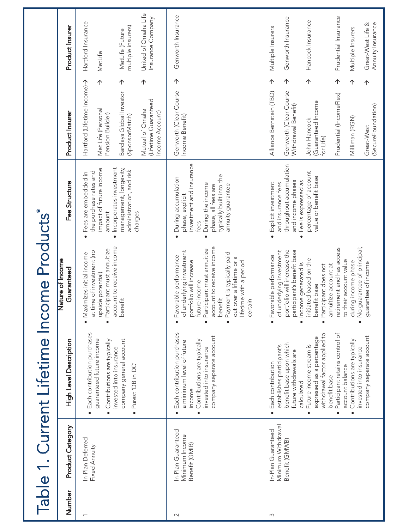|        |                                                            | Table 1. Current Lifetime Income Products*                                                                                                                                                                                                                                                                                                                                                                  |                                                                                                                                                                                                                                                                                                                                                                                                           |                                                                                                                                                                                              |                                                                                                                                                                                                                                                                                 |                                                                                                                                                     |
|--------|------------------------------------------------------------|-------------------------------------------------------------------------------------------------------------------------------------------------------------------------------------------------------------------------------------------------------------------------------------------------------------------------------------------------------------------------------------------------------------|-----------------------------------------------------------------------------------------------------------------------------------------------------------------------------------------------------------------------------------------------------------------------------------------------------------------------------------------------------------------------------------------------------------|----------------------------------------------------------------------------------------------------------------------------------------------------------------------------------------------|---------------------------------------------------------------------------------------------------------------------------------------------------------------------------------------------------------------------------------------------------------------------------------|-----------------------------------------------------------------------------------------------------------------------------------------------------|
| Number | Product Category                                           | High Level Description                                                                                                                                                                                                                                                                                                                                                                                      | Nature of Income<br>Guaranteed                                                                                                                                                                                                                                                                                                                                                                            | Fee Structure                                                                                                                                                                                | Product Insurer                                                                                                                                                                                                                                                                 | Product Insurer                                                                                                                                     |
|        | In-Plan Deferred<br>Fixed Annuity                          | Each contribution purchases<br>guaranteed future income<br>company general account<br>Contributions are typically<br>invested into insurance<br>Purest 'DB in DC'<br>$\bullet$<br>$\bullet$                                                                                                                                                                                                                 | account to receive income<br>Participant must annuitize<br>at time of investment (no<br>Maximizes initial income<br>upside potential)<br>benefit<br>$\bullet$                                                                                                                                                                                                                                             | Incorporates investment<br>management, longevity,<br>impact of future income<br>administration, and risk<br>the purchase rates and<br>Fees are embedded in<br>amount<br>charges<br>$\bullet$ | 个<br>个<br>个<br>Hartford (Lifetime Income)<br>Barclays Global Investor<br>(Lifetime Guaranteed<br>Met Life (Personal<br>Mutual of Omaha<br>Income Account)<br>Pension Builder)<br>(SponsorMatch)                                                                                 | United of Omaha Life<br>Insurance Company<br>Hartford Insurance<br>multiple insurers)<br>MetLife (Future<br>MetLife                                 |
| $\sim$ | In-Plan Guaranteed<br>Minimum Income<br>Benefit (GMIB)     | Each contribution purchases<br>company separate account<br>Contributions are typically<br>a minimum level of future<br>invested into insurance<br>income<br>$\bullet$                                                                                                                                                                                                                                       | account to receive income<br>Participant must annuitize<br>of underlying investment<br>Payment is typically paid<br>orable performance<br>out over a lifetime or a<br>portfolio will increase<br>lifetime with a period<br>future income<br>benefit<br>certain<br>$F_{\overline{\theta}}$<br>$\bullet$<br>$\bullet$                                                                                       | investment and insurance<br>typically built into the<br>During accumulation<br>During the income<br>annuity guarantee<br>phase, all fees are<br>phase, explicit<br>fees<br>$\bullet$         | 个<br>Genworth (Clear Course<br>Income Benefit)                                                                                                                                                                                                                                  | Genworth Insurance                                                                                                                                  |
| S      | Minimum Withdrawal<br>In-Plan Guaranteed<br>Benefit (GMWB) | Participant retains control of<br>withdrawal factor applied to<br>company separate account<br>expressed as a percentage<br>Contributions are typically<br>benefit base upon which<br>Future income stream is<br>establishes participant's<br>invested into insurance<br>future withdrawals are<br>Each contribution<br>account balance<br>benefit base<br>calculated<br>$\bullet$<br>$\bullet$<br>$\bullet$ | No guarantee of principal;<br>retirement and has access<br>portfolio will increase the<br>participant's benefit base<br>of underlying investment<br>Favorable performance<br>initiated based on the<br>to their account value<br>during income phase<br>guarantee of income<br>Income generated is<br>annuitize account at<br>Participant does not<br>benefit base<br>$\bullet$<br>$\bullet$<br>$\bullet$ | throughout accumulation<br>percentage of account<br>value or benefit base<br>Fee is expressed as<br>and income phases<br>Explicit investment<br>and insurance fees                           | 个<br>$\uparrow$<br>$\uparrow$<br>个<br>$\uparrow$<br>$\uparrow$<br>Genworth (Clear Course<br>Alliance Bernstein (TBD)<br>Prudential (IncomeFlex)<br>(Guaranteed Income<br>Withdrawal Benefit)<br>(SecureFoundation)<br>Milliman (RGN)<br>John Hancock<br>Great-West<br>for Life) | Prudential Insurance<br>Genworth Insurance<br>Hancock Insurance<br>Annuity Insurance<br>Great-West Life &<br>Multiple Insurers<br>Multiple Insurers |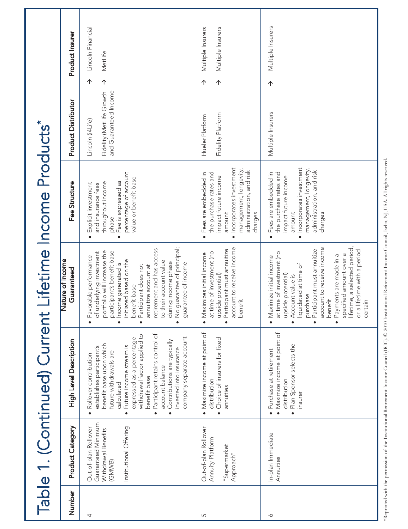|                |                                                                                                       | Table 1. (Continued) Current                                                                                                                                                                                                                                                                                                                                                                                                 |                                                                                                                                                                                                                                                                                                                                                                                                                         | Lifetime Income Products*                                                                                                                                                                              |                                                                                                                                   |                   |
|----------------|-------------------------------------------------------------------------------------------------------|------------------------------------------------------------------------------------------------------------------------------------------------------------------------------------------------------------------------------------------------------------------------------------------------------------------------------------------------------------------------------------------------------------------------------|-------------------------------------------------------------------------------------------------------------------------------------------------------------------------------------------------------------------------------------------------------------------------------------------------------------------------------------------------------------------------------------------------------------------------|--------------------------------------------------------------------------------------------------------------------------------------------------------------------------------------------------------|-----------------------------------------------------------------------------------------------------------------------------------|-------------------|
| Number         | Product Category                                                                                      | High Level Description                                                                                                                                                                                                                                                                                                                                                                                                       | Vature of Income<br>Guaranteed                                                                                                                                                                                                                                                                                                                                                                                          | Fee Structure                                                                                                                                                                                          | Product Insurer<br><b>Product Distributor</b>                                                                                     |                   |
| 4              | Guaranteed Minimum<br>Out-of-plan Rollover<br>Institutional Offering<br>Withdrawal Benefits<br>(GMWB) | Participant retains control of<br>withdrawal factor applied to<br>company separate account<br>expressed as a percentage<br>Contributions are typically<br>benefit base upon which<br>Future income stream is<br>establishes participant's<br>invested into insurance<br>future withdrawals are<br>Rollover contribution<br>account balance<br>benefit base<br>calculated<br>$\bullet$<br>$\bullet$<br>$\bullet$<br>$\bullet$ | guarantee of principal;<br>retirement and has access<br>portfolio will increase the<br>participant's benefit base<br>of underlying investment<br>· Favorable performance<br>initiated based on the<br>to their account value<br>during income phase<br>Income generated is<br>guarantee of income<br>Participant does not<br>annuitize account at<br>benefit base<br>$\stackrel{\circ}{\geq}$<br>$\bullet$<br>$\bullet$ | percentage of account<br>value or benefit base<br>Fee is expressed as<br>throughout income<br>Explicit investment<br>and insurance fees<br>phase<br>$\bullet$<br>$\bullet$                             | Lincoln Financial<br>MetLife<br>$\uparrow$<br>$\uparrow$<br>and Guaranteed Income<br>Fidelity (MetLife Growth<br>Lincoln (i4Life) |                   |
| $\overline{5}$ | Out-of-plan Rollover<br>Annuity Platform<br>"Supermarket<br>Approach"                                 | Maximize income at point of<br>Choice of insurers for fixed<br>distribution<br>annuities<br>$\bullet$                                                                                                                                                                                                                                                                                                                        | account to receive income<br>Participant must annuitize<br>at time of investment (no<br>Maximizes initial income<br>upside potential)<br>benefit<br>$\bullet$<br>$\bullet$                                                                                                                                                                                                                                              | Incorporates investment<br>management, longevity,<br>administration, and risk<br>the purchase rates and<br>Fees are embedded in<br>impact future income<br>amount<br>charges<br>$\bullet$              | Multiple Insurers<br>Multiple Insurers<br>$\uparrow$<br>个<br>Fidelity Platform<br>Hueler Platform                                 |                   |
| $\sim$         | In-plan Immediate<br>Annuities                                                                        | · Maximize income at point of<br>Plan Sponsor selects the<br>· Purchase at retirement<br>distribution<br>insurer<br>$\bullet$                                                                                                                                                                                                                                                                                                | lifetime, a selected period,<br>account to receive income<br>Participant must annuitize<br>or a lifetime with a period<br>at time of investment (no<br>specified amount over a<br>Payments are made in a<br>· Maximize initial income<br>liquidated at time of<br>upside potential)<br>Account value is<br>purchase<br>benefit<br>certain<br>$\bullet$<br>$\bullet$<br>$\bullet$                                        | Incorporates investment<br>management, longevity,<br>administration, and risk<br>the purchase rates and<br>Fees are embedded in<br>impact future income<br>amount<br>charges<br>$\bullet$<br>$\bullet$ | 个<br>Multiple Insurers                                                                                                            | Multiple Insurers |

\*Reprinted with the permission of the Institutional Retirement Income Council (IRIC). © 2010 Institutional Retirement Income Council, Iselin, NJ, USA. All rights reserved. \*Reprinted with the permission of the Institutional Retirement Income Council (IRIC). © 2010 Institutional Retirement Income Council, Iselin, NJ, USA. All rights reserved.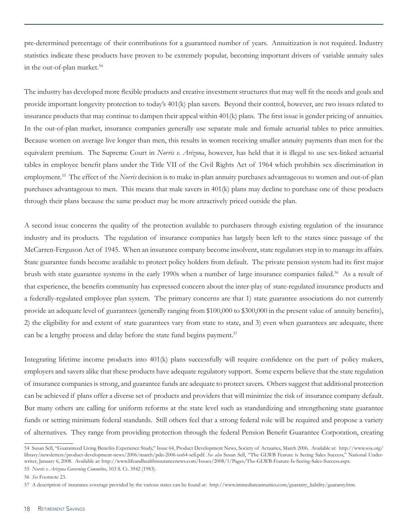pre-determined percentage of their contributions for a guaranteed number of years. Annuitization is not required. Industry statistics indicate these products have proven to be extremely popular, becoming important drivers of variable annuity sales in the out-of-plan market.<sup>54</sup>

The industry has developed more flexible products and creative investment structures that may well fit the needs and goals and provide important longevity protection to today's 401(k) plan savers. Beyond their control, however, are two issues related to insurance products that may continue to dampen their appeal within 401(k) plans. The first issue is gender pricing of annuities. In the out-of-plan market, insurance companies generally use separate male and female actuarial tables to price annuities. Because women on average live longer than men, this results in women receiving smaller annuity payments than men for the equivalent premium. The Supreme Court in *Norris v. Arizona*, however, has held that it is illegal to use sex-linked actuarial tables in employee benefit plans under the Title VII of the Civil Rights Act of 1964 which prohibits sex discrimination in employment.<sup>55</sup> The effect of the *Norris* decision is to make in-plan annuity purchases advantageous to women and out-of-plan purchases advantageous to men. This means that male savers in 401(k) plans may decline to purchase one of these products through their plans because the same product may be more attractively priced outside the plan.

A second issue concerns the quality of the protection available to purchasers through existing regulation of the insurance industry and its products. The regulation of insurance companies has largely been left to the states since passage of the McCarren-Ferguson Act of 1945. When an insurance company become insolvent, state regulators step in to manage its affairs. State guarantee funds become available to protect policy holders from default. The private pension system had its first major brush with state guarantee systems in the early 1990s when a number of large insurance companies failed.<sup>56</sup> As a result of that experience, the benefits community has expressed concern about the inter-play of state-regulated insurance products and a federally-regulated employee plan system. The primary concerns are that 1) state guarantee associations do not currently provide an adequate level of guarantees (generally ranging from \$100,000 to \$300,000 in the present value of annuity benefits), 2) the eligibility for and extent of state guarantees vary from state to state, and 3) even when guarantees are adequate, there can be a lengthy process and delay before the state fund begins payment.<sup>57</sup>

Integrating lifetime income products into 401(k) plans successfully will require confidence on the part of policy makers, employers and savers alike that these products have adequate regulatory support. Some experts believe that the state regulation of insurance companies is strong, and guarantee funds are adequate to protect savers. Others suggest that additional protection can be achieved if plans offer a diverse set of products and providers that will minimize the risk of insurance company default. But many others are calling for uniform reforms at the state level such as standardizing and strengthening state guarantee funds or setting minimum federal standards. Still others feel that a strong federal role will be required and propose a variety of alternatives. They range from providing protection through the federal Pension Benefit Guarantee Corporation, creating

<sup>54</sup> Susan Sell, "Guaranteed Living Benefits Experience Study," Issue 64, Product Development News, Society of Actuaries, March 2006. Available at: http://www.soa.org/ library/newsletters/product-development-news/2006/march/pdn-2006-iss64-sell.pdf. *See also* Susan Sell, "The GLWB Feature is Seeing Sales Success," National Underwriter, January 6, 2008. Available at: http://www.lifeandhealthinsurancenews.com/Issues/2008/1/Pages/The-GLWB-Feature-Is-Seeing-Sales-Success.aspx. 55 *Norris v. Arizona Governing Committee*, 103 S. Ct. 3942 (1983).

<sup>56</sup> *See* Footnote 23.

<sup>57</sup> A description of insurance coverage provided by the various states can be found at: http://www.immediateannuities.com/guaranty\_liability/guaranty.htm.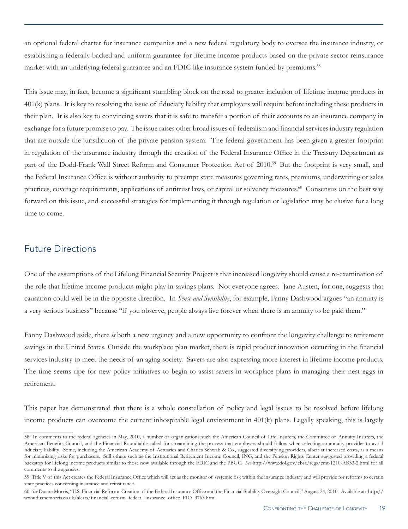an optional federal charter for insurance companies and a new federal regulatory body to oversee the insurance industry, or establishing a federally-backed and uniform guarantee for lifetime income products based on the private sector reinsurance market with an underlying federal guarantee and an FDIC-like insurance system funded by premiums.<sup>58</sup>

This issue may, in fact, become a significant stumbling block on the road to greater inclusion of lifetime income products in 401(k) plans. It is key to resolving the issue of fiduciary liability that employers will require before including these products in their plan. It is also key to convincing savers that it is safe to transfer a portion of their accounts to an insurance company in exchange for a future promise to pay. The issue raises other broad issues of federalism and financial services industry regulation that are outside the jurisdiction of the private pension system. The federal government has been given a greater footprint in regulation of the insurance industry through the creation of the Federal Insurance Office in the Treasury Department as part of the Dodd-Frank Wall Street Reform and Consumer Protection Act of 2010.<sup>59</sup> But the footprint is very small, and the Federal Insurance Office is without authority to preempt state measures governing rates, premiums, underwriting or sales practices, coverage requirements, applications of antitrust laws, or capital or solvency measures.<sup>60</sup> Consensus on the best way forward on this issue, and successful strategies for implementing it through regulation or legislation may be elusive for a long time to come.

#### Future Directions

One of the assumptions of the Lifelong Financial Security Project is that increased longevity should cause a re-examination of the role that lifetime income products might play in savings plans. Not everyone agrees. Jane Austen, for one, suggests that causation could well be in the opposite direction. In *Sense and Sensibility*, for example, Fanny Dashwood argues "an annuity is a very serious business" because "if you observe, people always live forever when there is an annuity to be paid them."

Fanny Dashwood aside, there *is* both a new urgency and a new opportunity to confront the longevity challenge to retirement savings in the United States. Outside the workplace plan market, there is rapid product innovation occurring in the financial services industry to meet the needs of an aging society. Savers are also expressing more interest in lifetime income products. The time seems ripe for new policy initiatives to begin to assist savers in workplace plans in managing their nest eggs in retirement.

This paper has demonstrated that there is a whole constellation of policy and legal issues to be resolved before lifelong income products can overcome the current inhospitable legal environment in 401(k) plans. Legally speaking, this is largely

<sup>58</sup> In comments to the federal agencies in May, 2010, a number of organizations such the American Council of Life Insurers, the Committee of Annuity Insurers, the American Benefits Council, and the Financial Roundtable called for streamlining the process that employers should follow when selecting an annuity provider to avoid fiduciary liability. Some, including the American Academy of Actuaries and Charles Schwab & Co., suggested diversifying providers, albeit at increased costs, as a means for minimizing risks for purchasers. Still others such as the Institutional Retirement Income Council, ING, and the Pension Rights Center suggested providing a federal backstop for lifelong income products similar to those now available through the FDIC and the PBGC. *See* http://www.dol.gov/ebsa/regs/cmt-1210-AB33-2.html for all comments to the agencies.

<sup>59</sup> Title V of this Act creates the Federal Insurance Office which will act as the monitor of systemic risk within the insurance industry and will provide for reforms to certain state practices concerning insurance and reinsurance.

<sup>60</sup> *See* Duane Morris, "U.S. Financial Reform: Creation of the Federal Insurance Office and the Financial Stability Oversight Council," August 24, 2010. Available at: http:// www.duanemorris.co.uk/alerts/financial\_reform\_federal\_insurance\_office\_FIO\_3763.html.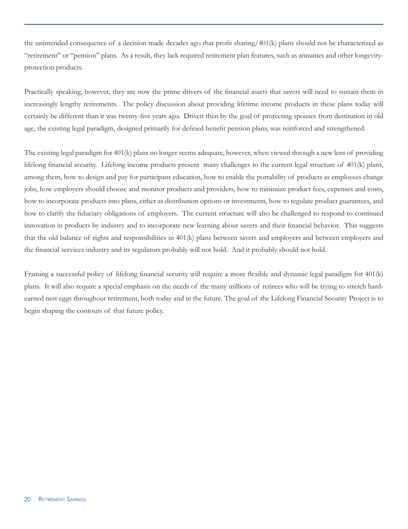the unintended consequence of a decision made decades ago that profit sharing/401(k) plans should not be characterized as "retirement" or "pension" plans. As a result, they lack required retirement plan features, such as annuities and other longevityprotection products.

Practically speaking, however, they are now the prime drivers of the financial assets that savers will need to sustain them in increasingly lengthy retirements. The policy discussion about providing lifetime income products in these plans today will certainly be different than it was twenty-five years ago. Driven then by the goal of protecting spouses from destitution in old age, the existing legal paradigm, designed primarily for defined benefit pension plans, was reinforced and strengthened.

The existing legal paradigm for 401(k) plans no longer seems adequate, however, when viewed through a new lens of providing lifelong financial security. Lifelong income products present many challenges to the current legal structure of 401(k) plans, among them, how to design and pay for participant education, how to enable the portability of products as employees change jobs, how employers should choose and monitor products and providers, how to minimize product fees, expenses and costs, how to incorporate products into plans, either as distribution options or investments, how to regulate product guarantees, and how to clarify the fiduciary obligations of employers. The current structure will also be challenged to respond to continued innovation in products by industry and to incorporate new learning about savers and their financial behavior. This suggests that the old balance of rights and responsibilities in 401(k) plans between savers and employers and between employers and the financial services industry and its regulators probably will not hold. And it probably should not hold.

Framing a successful policy of lifelong financial security will require a more flexible and dynamic legal paradigm for 401(k) plans. It will also require a special emphasis on the needs of the many millions of retirees who will be trying to stretch hardearned nest eggs throughout retirement, both today and in the future. The goal of the Lifelong Financial Security Project is to begin shaping the contours of that future policy.